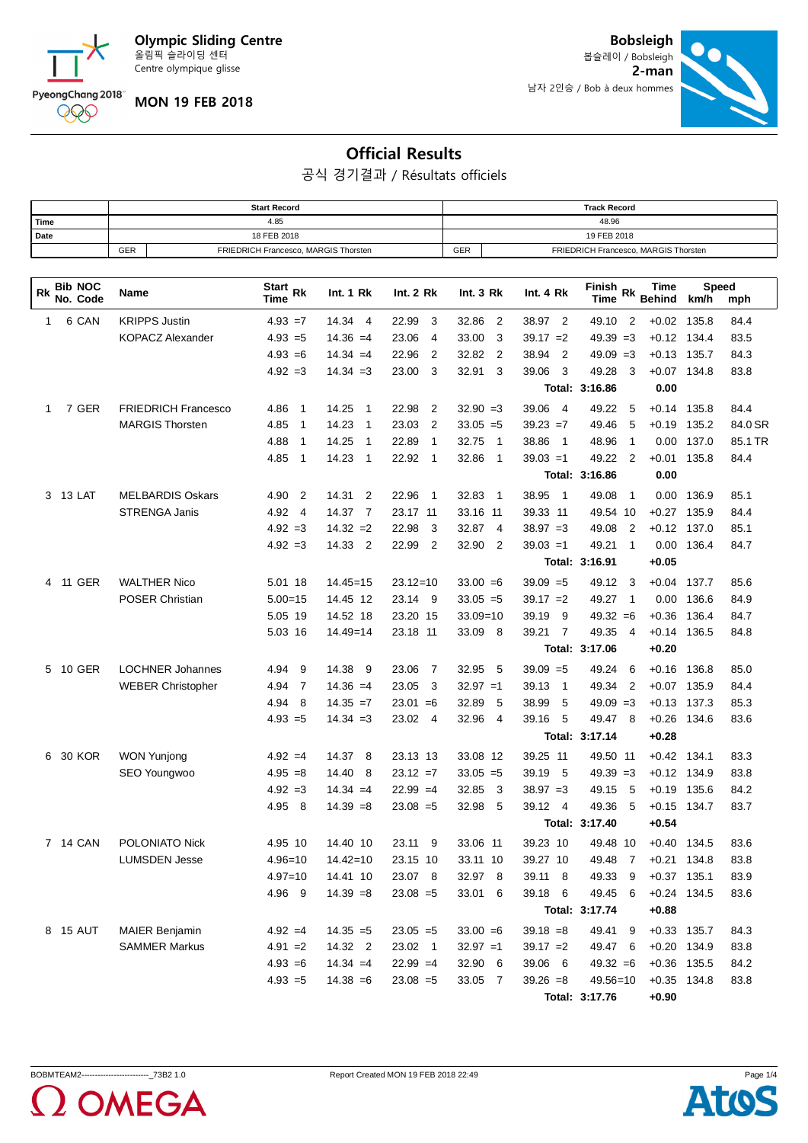

PyeongChang 2018 000

**MON 19 FEB 2018**

**2-man** 남자 2인승 / Bob à deux hommes **Bobsleigh** 봅슬레이 / Bobsleigh



## **Official Results**

공식 경기결과 / Résultats officiels

|      |            | <b>Start Record</b>                  | <b>Track Record</b> |                                      |  |  |  |  |
|------|------------|--------------------------------------|---------------------|--------------------------------------|--|--|--|--|
| Time |            | 4.85                                 |                     | 48.96                                |  |  |  |  |
| Date |            | 18 FEB 2018                          | 19 FEB 2018         |                                      |  |  |  |  |
|      | <b>GER</b> | FRIEDRICH Francesco, MARGIS Thorsten | GER                 | FRIEDRICH Francesco, MARGIS Thorsten |  |  |  |  |

| <b>Bib NOC</b><br>Rk<br>No. Code | Name                       | Start Rk<br>Time                | Int. 1 Rk                           | Int. 2 Rk             | Int.3 Rk                | Int. 4 Rk               | Finish Rk<br><b>Time</b> | Time<br><b>Behind</b> | Speed<br>km/h | mph     |
|----------------------------------|----------------------------|---------------------------------|-------------------------------------|-----------------------|-------------------------|-------------------------|--------------------------|-----------------------|---------------|---------|
| 6 CAN<br>1                       | <b>KRIPPS Justin</b>       | $4.93 = 7$                      | 14.34<br>$\overline{4}$             | 22.99<br>3            | $\overline{2}$<br>32.86 | 38.97<br>- 2            | 49.10<br>$\overline{2}$  | $+0.02$               | 135.8         | 84.4    |
|                                  | <b>KOPACZ Alexander</b>    | $4.93 = 5$                      | $14.36 = 4$                         | 23.06<br>4            | 33.00<br>3              | $39.17 = 2$             | $49.39 = 3$              | $+0.12$               | 134.4         | 83.5    |
|                                  |                            | $4.93 = 6$                      | $14.34 = 4$                         | 2<br>22.96            | 32.82<br>2              | 38.94<br>$\overline{2}$ | $49.09 = 3$              | $+0.13$ 135.7         |               | 84.3    |
|                                  |                            | $4.92 = 3$                      | $14.34 = 3$                         | 23.00<br>3            | 32.91<br>3              | 39.06<br>3              | 49.28<br>-3              | $+0.07$               | 134.8         | 83.8    |
|                                  |                            |                                 |                                     |                       |                         |                         | Total: 3:16.86           | 0.00                  |               |         |
| 7 GER<br>1                       | <b>FRIEDRICH Francesco</b> | $\overline{\mathbf{1}}$<br>4.86 | 14.25<br>$\overline{1}$             | 22.98<br>2            | $32.90 = 3$             | 39.06<br>$\overline{4}$ | 49.22<br>5               | $+0.14$               | 135.8         | 84.4    |
|                                  | <b>MARGIS Thorsten</b>     | 4.85<br>1                       | 14.23<br>$\overline{1}$             | 23.03<br>2            | $33.05 = 5$             | $39.23 = 7$             | 5<br>49.46               | $+0.19$               | 135.2         | 84.0 SR |
|                                  |                            | 4.88<br>$\mathbf{1}$            | 14.25<br>$\mathbf 1$                | 22.89<br>$\mathbf{1}$ | 32.75<br>$\overline{1}$ | 38.86<br>$\overline{1}$ | 48.96<br>$\mathbf{1}$    | 0.00                  | 137.0         | 85.1 TR |
|                                  |                            | 4.85<br>$\mathbf{1}$            | 14.23<br>$\overline{1}$             | 22.92<br>$\mathbf{1}$ | 32.86<br>$\overline{1}$ | $39.03 = 1$             | 49.22<br>2               | $+0.01$               | 135.8         | 84.4    |
|                                  |                            |                                 |                                     |                       |                         |                         | Total: 3:16.86           | 0.00                  |               |         |
| 13 LAT<br>3                      | <b>MELBARDIS Oskars</b>    | 4.90<br>2                       | 14.31<br>$\overline{2}$             | 22.96<br>1            | 32.83<br>$\overline{1}$ | 38.95<br>$\overline{1}$ | 49.08<br>$\overline{1}$  | 0.00                  | 136.9         | 85.1    |
|                                  | <b>STRENGA Janis</b>       | 4.92<br>4                       | 14.37<br>$\overline{7}$             | 23.17 11              | 33.16 11                | 39.33 11                | 49.54 10                 | $+0.27$               | 135.9         | 84.4    |
|                                  |                            | $4.92 = 3$                      | $14.32 = 2$                         | 22.98<br>3            | 32.87<br>$\overline{4}$ | $38.97 = 3$             | 49.08<br>2               | $+0.12$               | 137.0         | 85.1    |
|                                  |                            | $4.92 = 3$                      | 14.33<br>$\overline{\phantom{0}}^2$ | 22.99<br>2            | 32.90<br>$\overline{2}$ | $39.03 = 1$             | 49.21<br>$\overline{1}$  | 0.00                  | 136.4         | 84.7    |
|                                  |                            |                                 |                                     |                       |                         |                         | Total: 3:16.91           | $+0.05$               |               |         |
| <b>11 GER</b><br>4               | <b>WALTHER Nico</b>        | 5.01 18                         | $14.45 = 15$                        | $23.12 = 10$          | $33.00 = 6$             | $39.09 = 5$             | 3<br>49.12               | $+0.04$               | 137.7         | 85.6    |
|                                  | <b>POSER Christian</b>     | $5.00 = 15$                     | 14.45 12                            | 23.14 9               | $33.05 = 5$             | $39.17 = 2$             | 49.27<br>$\overline{1}$  | 0.00                  | 136.6         | 84.9    |
|                                  |                            | 5.05 19                         | 14.52 18                            | 23.20 15              | 33.09=10                | 39.19<br>-9             | $49.32 = 6$              | $+0.36$               | 136.4         | 84.7    |
|                                  |                            | 5.03 16                         | $14.49 = 14$                        | 23.18 11              | 33.09 8                 | 39.21<br>7              | 49.35<br>$\overline{4}$  | $+0.14$               | 136.5         | 84.8    |
|                                  |                            |                                 |                                     |                       |                         |                         | Total: 3:17.06           | $+0.20$               |               |         |
| <b>10 GER</b><br>5               | <b>LOCHNER Johannes</b>    | 4.94<br>9                       | 14.38<br>9                          | 23.06<br>7            | 32.95<br>5              | $39.09 = 5$             | 49.24<br>6               | $+0.16$               | 136.8         | 85.0    |
|                                  | <b>WEBER Christopher</b>   | 4.94<br>7                       | $14.36 = 4$                         | 23.05<br>3            | $32.97 = 1$             | 39.13<br>-1             | 49.34<br>$\overline{2}$  | $+0.07$               | 135.9         | 84.4    |
|                                  |                            | 4.94<br>8                       | $14.35 = 7$                         | $23.01 = 6$           | 32.89<br>5              | 38.99<br>5              | $49.09 = 3$              | $+0.13$               | 137.3         | 85.3    |
|                                  |                            | $4.93 = 5$                      | $14.34 = 3$                         | 23.02 4               | 32.96<br>$\overline{4}$ | 39.16<br>5              | 49.47<br>8               | $+0.26$               | 134.6         | 83.6    |
|                                  |                            |                                 |                                     |                       |                         |                         | Total: 3:17.14           | $+0.28$               |               |         |
| <b>30 KOR</b><br>6               | <b>WON Yunjong</b>         | $4.92 = 4$                      | 14.37<br>-8                         | 23.13 13              | 33.08 12                | 39.25<br>11             | 49.50 11                 | $+0.42$               | 134.1         | 83.3    |
|                                  | SEO Youngwoo               | $4.95 = 8$                      | 14.40<br>-8                         | $23.12 = 7$           | $33.05 = 5$             | 39.19<br>-5             | $49.39 = 3$              | $+0.12$               | 134.9         | 83.8    |
|                                  |                            | $4.92 = 3$                      | $14.34 = 4$                         | $22.99 = 4$           | 32.85<br>3              | $38.97 = 3$             | 49.15<br>5               | $+0.19$               | 135.6         | 84.2    |
|                                  |                            | 4.95<br>- 8                     | $14.39 = 8$                         | $23.08 = 5$           | 32.98<br>5              | 39.12<br>-4             | 49.36<br>5               | $+0.15$               | 134.7         | 83.7    |
|                                  |                            |                                 |                                     |                       |                         |                         | Total: 3:17.40           | $+0.54$               |               |         |
| 7 14 CAN                         | POLONIATO Nick             | 4.95 10                         | 14.40 10                            | 23.11<br>-9           | 33.06 11                | 39.23 10                | 49.48 10                 | $+0.40$               | 134.5         | 83.6    |
|                                  | <b>LUMSDEN Jesse</b>       | $4.96 = 10$                     | $14.42 = 10$                        | 23.15 10              | 33.11 10                | 39.27 10                | 49.48<br>7               | $+0.21$               | 134.8         | 83.8    |
|                                  |                            | $4.97 = 10$                     | 14.41 10                            | 23.07 8               | 32.97<br>8              | 39.11<br>8              | 49.33<br>9               | +0.37                 | 135.1         | 83.9    |
|                                  |                            | 4.96 9                          | $14.39 = 8$                         | $23.08 = 5$           | 33.01 6                 | 39.18 6                 | 49.45<br>6               | $+0.24$ 134.5         |               | 83.6    |
|                                  |                            |                                 |                                     |                       |                         |                         | Total: 3:17.74           | $+0.88$               |               |         |
| 8 15 AUT                         | <b>MAIER Benjamin</b>      | $4.92 = 4$                      | $14.35 = 5$                         | $23.05 = 5$           | $33.00 = 6$             | $39.18 = 8$             | 49.41<br>9               | $+0.33$ 135.7         |               | 84.3    |
|                                  | <b>SAMMER Markus</b>       | $4.91 = 2$                      | 14.32 2                             | 23.02 1               | $32.97 = 1$             | $39.17 = 2$             | 49.47 6                  | $+0.20$ 134.9         |               | 83.8    |
|                                  |                            | $4.93 = 6$                      | $14.34 = 4$                         | $22.99 = 4$           | 32.90 6                 | 39.06 6                 | $49.32 = 6$              | $+0.36$ 135.5         |               | 84.2    |
|                                  |                            | $4.93 = 5$                      | $14.38 = 6$                         | $23.08 = 5$           | 33.05 7                 | $39.26 = 8$             | $49.56 = 10$             | $+0.35$ 134.8         |               | 83.8    |
|                                  |                            |                                 |                                     |                       |                         |                         | Total: 3:17.76           | $+0.90$               |               |         |

 $\mathbf \Lambda$ 

2 OMEGA



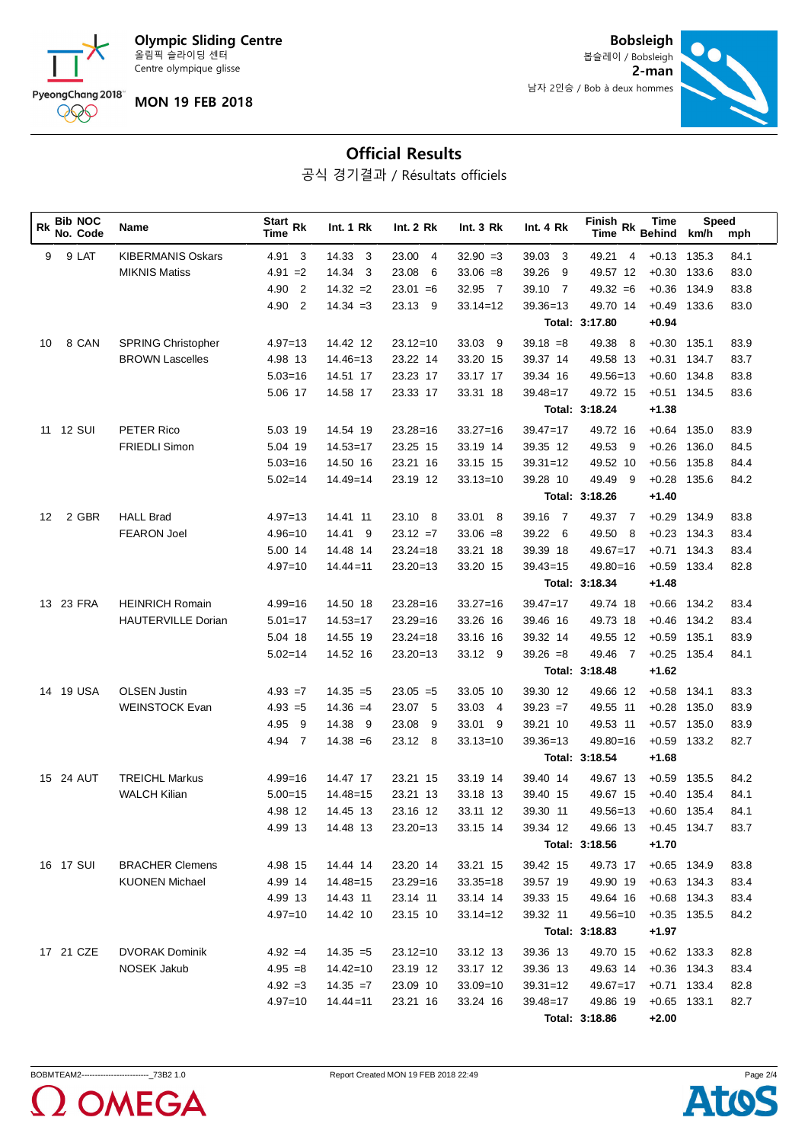**Olympic Sliding Centre** 올림픽 슬라이딩 센터 Centre olympique glisse



**MON 19 FEB 2018**

**Bobsleigh** 봅슬레이 / Bobsleigh

남자 2인승 / Bob à deux hommes



## **Official Results**

공식 경기결과 / Résultats officiels

| <b>Bib NOC</b><br>Rk<br>No. Code | <b>Name</b>               | <b>Start</b><br><b>Rk</b><br>Time | Int. 1 Rk    | <b>Int. 2 Rk</b>        | Int. $3 Rk$  | Int. 4 Rk               | Finish Rk<br><b>Time</b> | Time<br><b>Behind</b> | Speed<br>km/h | mph  |
|----------------------------------|---------------------------|-----------------------------------|--------------|-------------------------|--------------|-------------------------|--------------------------|-----------------------|---------------|------|
| 9 LAT<br>9                       | <b>KIBERMANIS Oskars</b>  | 4.91<br>3                         | 14.33<br>3   | 23.00<br>$\overline{4}$ | $32.90 = 3$  | 39.03<br>-3             | 49.21<br>$\overline{4}$  | $+0.13$               | 135.3         | 84.1 |
|                                  | <b>MIKNIS Matiss</b>      | $4.91 = 2$                        | 14.34<br>-3  | 23.08<br>6              | $33.06 = 8$  | 39.26<br>-9             | 49.57 12                 | $+0.30$               | 133.6         | 83.0 |
|                                  |                           | 4.90<br>$\overline{2}$            | $14.32 = 2$  | $23.01 = 6$             | 32.95 7      | 39.10<br>$\overline{7}$ | $49.32 = 6$              | $+0.36$               | 134.9         | 83.8 |
|                                  |                           | 4.90<br>$\overline{2}$            | $14.34 = 3$  | 23.13 9                 | $33.14 = 12$ | $39.36 = 13$            | 49.70 14                 | $+0.49$               | 133.6         | 83.0 |
|                                  |                           |                                   |              |                         |              |                         | Total: 3:17.80           | $+0.94$               |               |      |
| 8 CAN<br>10                      | <b>SPRING Christopher</b> | $4.97 = 13$                       | 14.42 12     | $23.12 = 10$            | 33.03<br>- 9 | $39.18 = 8$             | 49.38<br>-8              | $+0.30$               | 135.1         | 83.9 |
|                                  | <b>BROWN Lascelles</b>    | 4.98 13                           | $14.46 = 13$ | 23.22 14                | 33.20 15     | 39.37 14                | 49.58 13                 | $+0.31$               | 134.7         | 83.7 |
|                                  |                           | $5.03 = 16$                       | 14.51 17     | 23.23 17                | 33.17 17     | 39.34 16                | $49.56 = 13$             | $+0.60$               | 134.8         | 83.8 |
|                                  |                           | 5.06 17                           | 14.58 17     | 23.33 17                | 33.31 18     | 39.48=17                | 49.72 15                 | $+0.51$               | 134.5         | 83.6 |
|                                  |                           |                                   |              |                         |              |                         | Total: 3:18.24           | $+1.38$               |               |      |
| <b>12 SUI</b><br>11              | PETER Rico                | 5.03 19                           | 14.54 19     | $23.28 = 16$            | $33.27 = 16$ | $39.47 = 17$            | 49.72 16                 | $+0.64$               | 135.0         | 83.9 |
|                                  | <b>FRIEDLI Simon</b>      | 5.04 19                           | $14.53 = 17$ | 23.25 15                | 33.19 14     | 39.35 12                | 49.53<br>- 9             | $+0.26$               | 136.0         | 84.5 |
|                                  |                           | $5.03 = 16$                       | 14.50 16     | 23.21 16                | 33.15 15     | $39.31 = 12$            | 49.52 10                 | $+0.56$               | 135.8         | 84.4 |
|                                  |                           | $5.02 = 14$                       | $14.49 = 14$ | 23.19 12                | $33.13 = 10$ | 39.28 10                | 49.49<br>-9              | $+0.28$               | 135.6         | 84.2 |
|                                  |                           |                                   |              |                         |              |                         | Total: 3:18.26           | $+1.40$               |               |      |
| 2 GBR<br>12                      | <b>HALL Brad</b>          | $4.97 = 13$                       | 14.41 11     | 23.10 8                 | 33.01 8      | 39.16<br>$\overline{7}$ | -7<br>49.37              | $+0.29$               | 134.9         | 83.8 |
|                                  | <b>FEARON Joel</b>        | $4.96 = 10$                       | 14.41<br>- 9 | $23.12 = 7$             | $33.06 = 8$  | 39.22<br>- 6            | 49.50<br>8               | $+0.23$               | 134.3         | 83.4 |
|                                  |                           | 5.00 14                           | 14.48 14     | $23.24 = 18$            | 33.21 18     | 39.39 18                | $49.67 = 17$             | $+0.71$               | 134.3         | 83.4 |
|                                  |                           | $4.97 = 10$                       | $14.44 = 11$ | $23.20 = 13$            | 33.20 15     | $39.43 = 15$            | 49.80=16                 | $+0.59$               | 133.4         | 82.8 |
|                                  |                           |                                   |              |                         |              |                         | Total: 3:18.34           | $+1.48$               |               |      |
| <b>23 FRA</b><br>13              | <b>HEINRICH Romain</b>    | $4.99 = 16$                       | 14.50 18     | $23.28 = 16$            | $33.27 = 16$ | $39.47 = 17$            | 49.74 18                 | $+0.66$               | 134.2         | 83.4 |
|                                  | <b>HAUTERVILLE Dorian</b> | $5.01 = 17$                       | $14.53 = 17$ | $23.29 = 16$            | 33.26 16     | 39.46 16                | 49.73 18                 | $+0.46$               | 134.2         | 83.4 |
|                                  |                           | 5.04 18                           | 14.55 19     | $23.24 = 18$            | 33.16 16     | 39.32 14                | 49.55 12                 | $+0.59$               | 135.1         | 83.9 |
|                                  |                           | $5.02 = 14$                       | 14.52 16     | $23.20 = 13$            | 33.12 9      | $39.26 = 8$             | 49.46<br>-7              | $+0.25$               | 135.4         | 84.1 |
|                                  |                           |                                   |              |                         |              |                         | Total: 3:18.48           | $+1.62$               |               |      |
| 19 USA<br>14                     | <b>OLSEN Justin</b>       | $4.93 = 7$                        | $14.35 = 5$  | $23.05 = 5$             | 33.05 10     | 39.30 12                | 49.66 12                 | $+0.58$               | 134.1         | 83.3 |
|                                  | <b>WEINSTOCK Evan</b>     | $4.93 = 5$                        | $14.36 = 4$  | 23.07 5                 | 33.03<br>- 4 | $39.23 = 7$             | 49.55 11                 | $+0.28$               | 135.0         | 83.9 |
|                                  |                           | 4.95<br>9                         | 14.38 9      | 23.08<br>9              | 33.01<br>- 9 | 39.21 10                | 49.53 11                 | $+0.57$               | 135.0         | 83.9 |
|                                  |                           | 4.94<br>$\overline{7}$            | $14.38 = 6$  | 23.12 8                 | $33.13 = 10$ | $39.36 = 13$            | $49.80 = 16$             | $+0.59$               | 133.2         | 82.7 |
|                                  |                           |                                   |              |                         |              |                         | Total: 3:18.54           | $+1.68$               |               |      |
| 15 24 AUT                        | <b>TREICHL Markus</b>     | 4.99=16                           | 14.47 17     | 23.21 15                | 33.19 14     | 39.40 14                | 49.67 13                 | $+0.59$               | 135.5         | 84.2 |
|                                  | <b>WALCH Kilian</b>       | $5.00 = 15$                       | $14.48 = 15$ | 23.21 13                | 33.18 13     | 39.40 15                | 49.67 15                 | $+0.40$               | 135.4         | 84.1 |
|                                  |                           | 4.98 12                           | 14.45 13     | 23.16 12                | 33.11 12     | 39.30 11                | 49.56=13                 | $+0.60$ 135.4         |               | 84.1 |
|                                  |                           | 4.99 13                           | 14.48 13     | $23.20 = 13$            | 33.15 14     | 39.34 12                | 49.66 13                 |                       | $+0.45$ 134.7 | 83.7 |
|                                  |                           |                                   |              |                         |              |                         | Total: 3:18.56           | $+1.70$               |               |      |
| 16 17 SUI                        | <b>BRACHER Clemens</b>    | 4.98 15                           | 14.44 14     | 23.20 14                | 33.21 15     | 39.42 15                | 49.73 17                 | $+0.65$ 134.9         |               | 83.8 |
|                                  | <b>KUONEN Michael</b>     | 4.99 14                           | $14.48 = 15$ | $23.29 = 16$            | $33.35 = 18$ | 39.57 19                | 49.90 19                 | $+0.63$ 134.3         |               | 83.4 |
|                                  |                           | 4.99 13                           | 14.43 11     | 23.14 11                | 33.14 14     | 39.33 15                | 49.64 16                 | $+0.68$ 134.3         |               | 83.4 |
|                                  |                           | $4.97 = 10$                       | 14.42 10     | 23.15 10                | $33.14 = 12$ | 39.32 11                | $49.56 = 10$             | $+0.35$ 135.5         |               | 84.2 |
|                                  |                           |                                   |              |                         |              |                         | Total: 3:18.83           | $+1.97$               |               |      |
| 17 21 CZE                        | <b>DVORAK Dominik</b>     | $4.92 = 4$                        | $14.35 = 5$  | $23.12 = 10$            | 33.12 13     | 39.36 13                | 49.70 15                 | $+0.62$ 133.3         |               | 82.8 |
|                                  | <b>NOSEK Jakub</b>        | $4.95 = 8$                        | $14.42 = 10$ | 23.19 12                | 33.17 12     | 39.36 13                | 49.63 14                 |                       | $+0.36$ 134.3 | 83.4 |
|                                  |                           | $4.92 = 3$                        | $14.35 = 7$  | 23.09 10                | $33.09 = 10$ | $39.31 = 12$            | $49.67 = 17$             |                       | $+0.71$ 133.4 | 82.8 |
|                                  |                           | $4.97 = 10$                       | $14.44 = 11$ | 23.21 16                | 33.24 16     | $39.48 = 17$            | 49.86 19                 | $+0.65$ 133.1         |               | 82.7 |
|                                  |                           |                                   |              |                         |              |                         | Total: 3:18.86           | $+2.00$               |               |      |



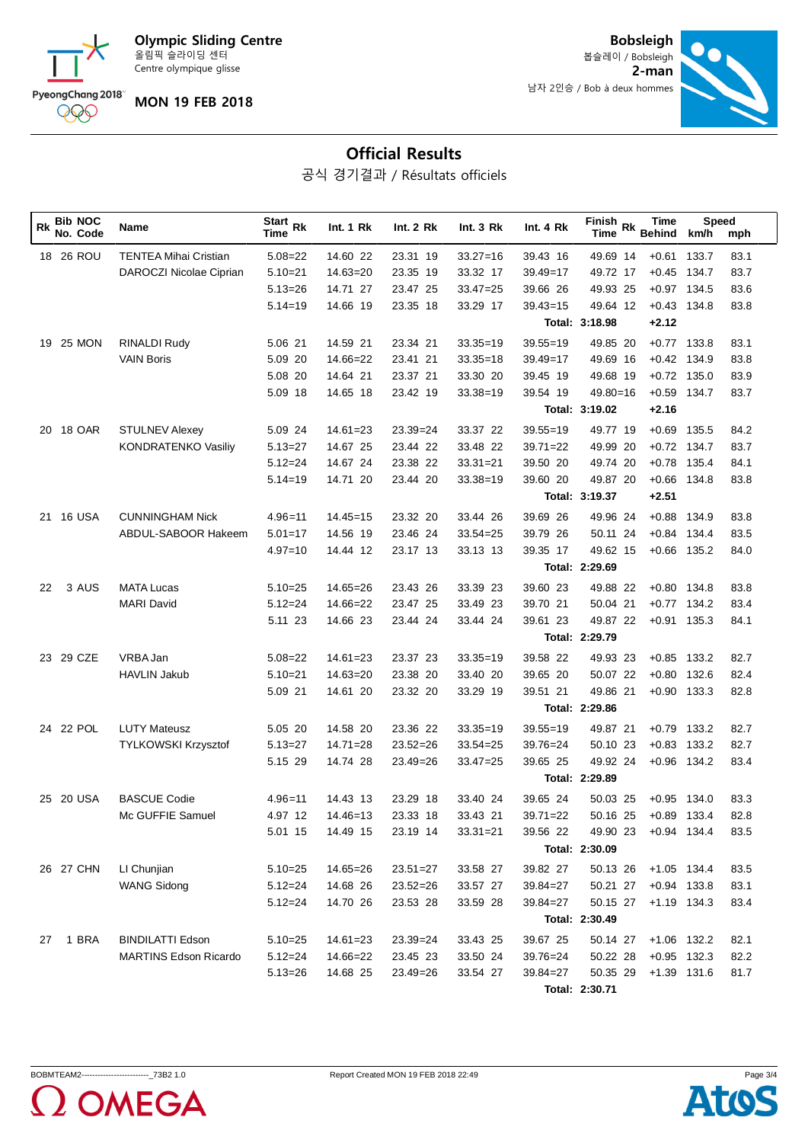**Olympic Sliding Centre** 올림픽 슬라이딩 센터 Centre olympique glisse



**MON 19 FEB 2018**

**2-man Bobsleigh** 봅슬레이 / Bobsleigh



## **Official Results**

공식 경기결과 / Résultats officiels

| Rk | <b>Bib NOC</b><br>No. Code | Name                         | Start $Rk$<br>Time | Int. 1 Rk    | Int. 2 Rk    | Int.3 Rk     | Int. 4 Rk    | Finish Rk<br>Time | Time<br><b>Behind</b> | Speed<br>km/h | mph  |
|----|----------------------------|------------------------------|--------------------|--------------|--------------|--------------|--------------|-------------------|-----------------------|---------------|------|
|    | 18 26 ROU                  | <b>TENTEA Mihai Cristian</b> | $5.08 = 22$        | 14.60 22     | 23.31 19     | $33.27 = 16$ | 39.43 16     | 49.69 14          | $+0.61$               | 133.7         | 83.1 |
|    |                            | DAROCZI Nicolae Ciprian      | $5.10 = 21$        | $14.63 = 20$ | 23.35 19     | 33.32 17     | $39.49 = 17$ | 49.72 17          | $+0.45$               | 134.7         | 83.7 |
|    |                            |                              | $5.13 = 26$        | 14.71 27     | 23.47 25     | $33.47 = 25$ | 39.66 26     | 49.93 25          | $+0.97$ 134.5         |               | 83.6 |
|    |                            |                              | $5.14 = 19$        | 14.66 19     | 23.35 18     | 33.29 17     | $39.43 = 15$ | 49.64 12          | $+0.43$ 134.8         |               | 83.8 |
|    |                            |                              |                    |              |              |              |              | Total: 3:18.98    | $+2.12$               |               |      |
|    | 25 MON<br>19               | RINALDI Rudy                 | 5.06 21            | 14.59 21     | 23.34 21     | $33.35 = 19$ | $39.55 = 19$ | 49.85 20          |                       | $+0.77$ 133.8 | 83.1 |
|    |                            | <b>VAIN Boris</b>            | 5.09 20            | $14.66 = 22$ | 23.41 21     | $33.35 = 18$ | $39.49 = 17$ | 49.69 16          | $+0.42$               | 134.9         | 83.8 |
|    |                            |                              | 5.08 20            | 14.64 21     | 23.37 21     | 33.30 20     | 39.45 19     | 49.68 19          |                       | $+0.72$ 135.0 | 83.9 |
|    |                            |                              | 5.09 18            | 14.65 18     | 23.42 19     | $33.38 = 19$ | 39.54 19     | $49.80 = 16$      | $+0.59$               | 134.7         | 83.7 |
|    |                            |                              |                    |              |              |              |              | Total: 3:19.02    | $+2.16$               |               |      |
| 20 | <b>18 OAR</b>              | <b>STULNEV Alexey</b>        | 5.09 24            | $14.61 = 23$ | $23.39 = 24$ | 33.37 22     | $39.55 = 19$ | 49.77 19          | $+0.69$               | 135.5         | 84.2 |
|    |                            | <b>KONDRATENKO Vasiliy</b>   | $5.13 = 27$        | 14.67 25     | 23.44 22     | 33.48 22     | $39.71 = 22$ | 49.99 20          |                       | $+0.72$ 134.7 | 83.7 |
|    |                            |                              | $5.12 = 24$        | 14.67 24     | 23.38 22     | $33.31 = 21$ | 39.50 20     | 49.74 20          |                       | $+0.78$ 135.4 | 84.1 |
|    |                            |                              | $5.14 = 19$        | 14.71 20     | 23.44 20     | $33.38 = 19$ | 39.60 20     | 49.87 20          | $+0.66$               | 134.8         | 83.8 |
|    |                            |                              |                    |              |              |              |              | Total: 3:19.37    | $+2.51$               |               |      |
|    | 16 USA<br>21               | <b>CUNNINGHAM Nick</b>       | $4.96 = 11$        | $14.45 = 15$ | 23.32 20     | 33.44 26     | 39.69 26     | 49.96 24          | $+0.88$               | 134.9         | 83.8 |
|    |                            | ABDUL-SABOOR Hakeem          | $5.01 = 17$        | 14.56 19     | 23.46 24     | $33.54 = 25$ | 39.79 26     | 50.11 24          | $+0.84$               | 134.4         | 83.5 |
|    |                            |                              | $4.97 = 10$        | 14.44 12     | 23.17 13     | 33.13 13     | 39.35 17     | 49.62 15          |                       | $+0.66$ 135.2 | 84.0 |
|    |                            |                              |                    |              |              |              |              | Total: 2:29.69    |                       |               |      |
| 22 | 3 AUS                      | <b>MATA Lucas</b>            | $5.10 = 25$        | $14.65 = 26$ | 23.43 26     | 33.39 23     | 39.60 23     | 49.88 22          |                       | $+0.80$ 134.8 | 83.8 |
|    |                            | <b>MARI David</b>            | $5.12 = 24$        | $14.66 = 22$ | 23.47 25     | 33.49 23     | 39.70 21     | 50.04 21          | $+0.77$               | 134.2         | 83.4 |
|    |                            |                              | 5.11 23            | 14.66 23     | 23.44 24     | 33.44 24     | 39.61 23     | 49.87 22          |                       | $+0.91$ 135.3 | 84.1 |
|    |                            |                              |                    |              |              |              |              | Total: 2:29.79    |                       |               |      |
|    | 29 CZE<br>23.              | VRBA Jan                     | $5.08 = 22$        | $14.61 = 23$ | 23.37 23     | $33.35 = 19$ | 39.58 22     | 49.93 23          |                       | $+0.85$ 133.2 | 82.7 |
|    |                            | <b>HAVLIN Jakub</b>          | $5.10 = 21$        | $14.63 = 20$ | 23.38 20     | 33.40 20     | 39.65 20     | 50.07 22          | $+0.80$               | 132.6         | 82.4 |
|    |                            |                              | 5.09 21            | 14.61 20     | 23.32 20     | 33.29 19     | 39.51 21     | 49.86 21          |                       | $+0.90$ 133.3 | 82.8 |
|    |                            |                              |                    |              |              |              |              | Total: 2:29.86    |                       |               |      |
|    | 24 22 POL                  | <b>LUTY Mateusz</b>          | 5.05 20            | 14.58 20     | 23.36 22     | $33.35 = 19$ | $39.55 = 19$ | 49.87 21          |                       | $+0.79$ 133.2 | 82.7 |
|    |                            | <b>TYLKOWSKI Krzysztof</b>   | $5.13 = 27$        | $14.71 = 28$ | $23.52 = 26$ | $33.54 = 25$ | $39.76 = 24$ | 50.10 23          |                       | $+0.83$ 133.2 | 82.7 |
|    |                            |                              | 5.15 29            | 14.74 28     | 23.49=26     | $33.47 = 25$ | 39.65 25     | 49.92 24          |                       | $+0.96$ 134.2 | 83.4 |
|    |                            |                              |                    |              |              |              |              | Total: 2:29.89    |                       |               |      |
|    | <b>20 USA</b><br>25        | <b>BASCUE Codie</b>          | $4.96 = 11$        | 14.43 13     | 23.29 18     | 33.40 24     | 39.65 24     | 50.03 25          | $+0.95$               | 134.0         | 83.3 |
|    |                            | Mc GUFFIE Samuel             | 4.97 12            | $14.46 = 13$ | 23.33 18     | 33.43 21     | $39.71 = 22$ | 50.16 25          |                       | $+0.89$ 133.4 | 82.8 |
|    |                            |                              | 5.01 15            | 14.49 15     | 23.19 14     | $33.31 = 21$ | 39.56 22     | 49.90 23          |                       | $+0.94$ 134.4 | 83.5 |
|    |                            |                              |                    |              |              |              |              | Total: 2:30.09    |                       |               |      |
|    | 26 27 CHN                  | LI Chunjian                  | $5.10 = 25$        | $14.65 = 26$ | $23.51 = 27$ | 33.58 27     | 39.82 27     | 50.13 26          |                       | $+1.05$ 134.4 | 83.5 |
|    |                            | <b>WANG Sidong</b>           | $5.12 = 24$        | 14.68 26     | $23.52 = 26$ | 33.57 27     | $39.84 = 27$ | 50.21 27          | $+0.94$ 133.8         |               | 83.1 |
|    |                            |                              | $5.12 = 24$        | 14.70 26     | 23.53 28     | 33.59 28     | $39.84 = 27$ | 50.15 27          |                       | $+1.19$ 134.3 | 83.4 |
|    |                            |                              |                    |              |              |              |              | Total: 2:30.49    |                       |               |      |
| 27 | 1 BRA                      | <b>BINDILATTI Edson</b>      | $5.10 = 25$        | $14.61 = 23$ | $23.39 = 24$ | 33.43 25     | 39.67 25     | 50.14 27          | $+1.06$ 132.2         |               | 82.1 |
|    |                            | <b>MARTINS Edson Ricardo</b> | $5.12 = 24$        | 14.66=22     | 23.45 23     | 33.50 24     | $39.76 = 24$ | 50.22 28          |                       | $+0.95$ 132.3 | 82.2 |
|    |                            |                              | $5.13 = 26$        | 14.68 25     | $23.49 = 26$ | 33.54 27     | $39.84 = 27$ | 50.35 29          | +1.39 131.6           |               | 81.7 |
|    |                            |                              |                    |              |              |              |              | Total: 2:30.71    |                       |               |      |